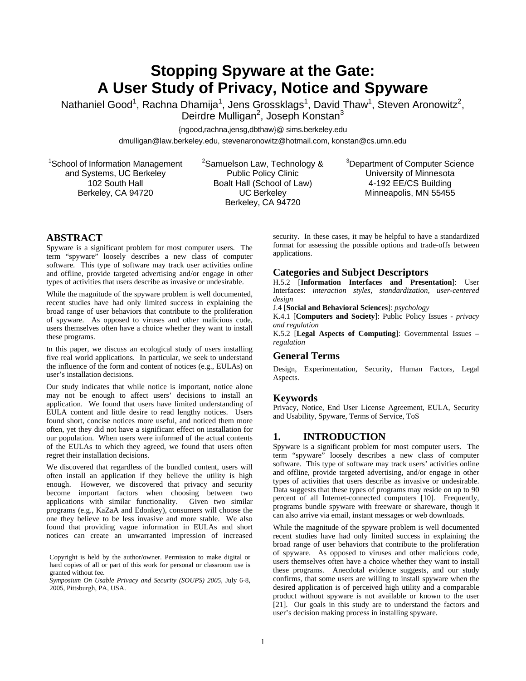# **Stopping Spyware at the Gate: A User Study of Privacy, Notice and Spyware**

Nathaniel Good<sup>1</sup>, Rachna Dhamija<sup>1</sup>, Jens Grossklags<sup>1</sup>, David Thaw<sup>1</sup>, Steven Aronowitz<sup>2</sup>, Deirdre Mulligan<sup>2</sup>, Joseph Konstan<sup>3</sup>

{ngood,rachna,jensg,dbthaw}@ sims.berkeley.edu

dmulligan@law.berkeley.edu, stevenaronowitz@hotmail.com, konstan@cs.umn.edu

<sup>1</sup>School of Information Management and Systems, UC Berkeley 102 South Hall Berkeley, CA 94720

 $^{2}$ Samuelson Law, Technology & Public Policy Clinic Boalt Hall (School of Law) UC Berkeley Berkeley, CA 94720

<sup>3</sup>Department of Computer Science University of Minnesota 4-192 EE/CS Building Minneapolis, MN 55455

# **ABSTRACT**

Spyware is a significant problem for most computer users. The term "spyware" loosely describes a new class of computer software. This type of software may track user activities online and offline, provide targeted advertising and/or engage in other types of activities that users describe as invasive or undesirable.

While the magnitude of the spyware problem is well documented, recent studies have had only limited success in explaining the broad range of user behaviors that contribute to the proliferation of spyware. As opposed to viruses and other malicious code, users themselves often have a choice whether they want to install these programs.

In this paper, we discuss an ecological study of users installing five real world applications. In particular, we seek to understand the influence of the form and content of notices (e.g., EULAs) on user's installation decisions.

Our study indicates that while notice is important, notice alone may not be enough to affect users' decisions to install an application. We found that users have limited understanding of EULA content and little desire to read lengthy notices. Users found short, concise notices more useful, and noticed them more often, yet they did not have a significant effect on installation for our population. When users were informed of the actual contents of the EULAs to which they agreed, we found that users often regret their installation decisions.

We discovered that regardless of the bundled content, users will often install an application if they believe the utility is high enough. However, we discovered that privacy and security become important factors when choosing between two applications with similar functionality. Given two similar programs (e.g., KaZaA and Edonkey), consumers will choose the one they believe to be less invasive and more stable. We also found that providing vague information in EULAs and short notices can create an unwarranted impression of increased

security. In these cases, it may be helpful to have a standardized format for assessing the possible options and trade-offs between applications.

# **Categories and Subject Descriptors**

H.5.2 [**Information Interfaces and Presentation**]: User Interfaces: *interaction styles, standardization, user-centered design* 

J.4 [**Social and Behavioral Sciences**]: *psychology* 

K.4.1 [**Computers and Society**]: Public Policy Issues - *privacy and regulation* 

K.5.2 [**Legal Aspects of Computing**]: Governmental Issues – *regulation* 

### **General Terms**

Design, Experimentation, Security, Human Factors, Legal Aspects.

### **Keywords**

Privacy, Notice, End User License Agreement, EULA, Security and Usability, Spyware, Terms of Service, ToS

# **1. INTRODUCTION**

Spyware is a significant problem for most computer users. The term "spyware" loosely describes a new class of computer software. This type of software may track users' activities online and offline, provide targeted advertising, and/or engage in other types of activities that users describe as invasive or undesirable. Data suggests that these types of programs may reside on up to 90 percent of all Internet-connected computers [10]. Frequently, programs bundle spyware with freeware or shareware, though it can also arrive via email, instant messages or web downloads.

While the magnitude of the spyware problem is well documented recent studies have had only limited success in explaining the broad range of user behaviors that contribute to the proliferation of spyware. As opposed to viruses and other malicious code, users themselves often have a choice whether they want to install these programs. Anecdotal evidence suggests, and our study confirms, that some users are willing to install spyware when the desired application is of perceived high utility and a comparable product without spyware is not available or known to the user [21]. Our goals in this study are to understand the factors and user's decision making process in installing spyware.

Copyright is held by the author/owner. Permission to make digital or hard copies of all or part of this work for personal or classroom use is granted without fee.

*Symposium On Usable Privacy and Security (SOUPS) 2005*, July 6-8, 2005, Pittsburgh, PA, USA.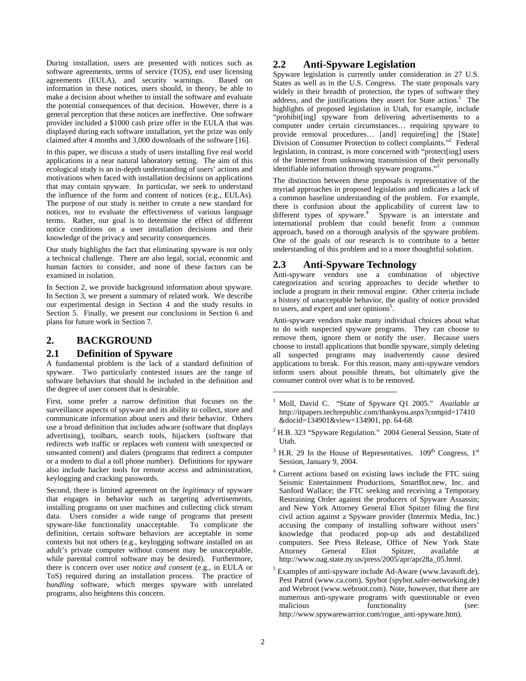During installation, users are presented with notices such as software agreements, terms of service (TOS), end user licensing<br>agreements (EULA), and security warnings. Based on agreements (EULA), and security warnings. information in these notices, users should, in theory, be able to make a decision about whether to install the software and evaluate the potential consequences of that decision. However, there is a general perception that these notices are ineffective. One software provider included a \$1000 cash prize offer in the EULA that was displayed during each software installation, yet the prize was only claimed after 4 months and 3,000 downloads of the software [16].

In this paper, we discuss a study of users installing five real world applications in a near natural laboratory setting. The aim of this ecological study is an in-depth understanding of users' actions and motivations when faced with installation decisions on applications that may contain spyware. In particular, we seek to understand the influence of the form and content of notices (e.g., EULAs). The purpose of our study is neither to create a new standard for notices, nor to evaluate the effectiveness of various language terms. Rather, our goal is to determine the effect of different notice conditions on a user installation decisions and their knowledge of the privacy and security consequences.

Our study highlights the fact that eliminating spyware is not only a technical challenge. There are also legal, social, economic and human factors to consider, and none of these factors can be examined in isolation.

In Section 2, we provide background information about spyware. In Section 3, we present a summary of related work. We describe our experimental design in Section 4 and the study results in Section 5. Finally, we present our conclusions in Section 6 and plans for future work in Section 7.

# **2. BACKGROUND**

### **2.1 Definition of Spyware**

A fundamental problem is the lack of a standard definition of spyware. Two particularly contested issues are the range of software behaviors that should be included in the definition and the degree of user consent that is desirable.

First, some prefer a narrow definition that focuses on the surveillance aspects of spyware and its ability to collect, store and communicate information about users and their behavior. Others use a broad definition that includes adware (software that displays advertising), toolbars, search tools, hijackers (software that redirects web traffic or replaces web content with unexpected or unwanted content) and dialers (programs that redirect a computer or a modem to dial a toll phone number). Definitions for spyware also include hacker tools for remote access and administration, keylogging and cracking passwords.

Second, there is limited agreement on the *legitimacy* of spyware that engages in behavior such as targeting advertisements, installing programs on user machines and collecting click stream data. Users consider a wide range of programs that present spyware-like functionality unacceptable. To complicate the definition, certain software behaviors are acceptable in some contexts but not others (e.g., keylogging software installed on an adult's private computer without consent may be unacceptable, while parental control software may be desired). Furthermore, there is concern over user *notice and consent* (e.g., in EULA or ToS) required during an installation process. The practice of *bundling* software, which merges spyware with unrelated programs, also heightens this concern.

### **2.2 Anti-Spyware Legislation**

Spyware legislation is currently under consideration in 27 U.S. States as well as in the U.S. Congress. The state proposals vary widely in their breadth of protection, the types of software they address, and the justifications they assert for State action.<sup>[1](#page-1-0)</sup> The highlights of proposed legislation in Utah, for example, include "prohibit[ing] spyware from delivering advertisements to a computer under certain circumstances… requiring spyware to provide removal procedures… [and] require[ing] the [State] Division of Consumer Protection to collect complaints."<sup>[2](#page-1-1)</sup> Federal legislation, in contrast, is more concerned with "protect[ing] users of the Internet from unknowing transmission of their personally identifiable information through spyware programs."

The distinction between these proposals is representative of the myriad approaches in proposed legislation and indicates a lack of a common baseline understanding of the problem. For example, there is confusion about the applicability of current law to different types of spyware.<sup>4</sup> Spyware is an interstate and Spyware is an interstate and international problem that could benefit from a common approach, based on a thorough analysis of the spyware problem. One of the goals of our research is to contribute to a better understanding of this problem and to a more thoughtful solution.

### **2.3 Anti-Spyware Technology**

Anti-spyware vendors use a combination of objective categorization and scoring approaches to decide whether to include a program in their removal engine. Other criteria include a history of unacceptable behavior, the quality of notice provided to users, and expert and user opinions<sup>[5](#page-1-4)</sup>.

Anti-spyware vendors make many individual choices about what to do with suspected spyware programs. They can choose to remove them, ignore them or notify the user. Because users choose to install applications that bundle spyware, simply deleting all suspected programs may inadvertently cause desired applications to break. For this reason, many anti-spyware vendors inform users about possible threats, but ultimately give the consumer control over what is to be removed.

- <span id="page-1-0"></span>1 Moll, David C. "State of Spyware Q1 2005." *Available at* http://itpapers.techrepublic.com/thankyou.aspx?compid=17410 &docid=134901&view=134901, pp. 64-68.
- <span id="page-1-1"></span> $2$  H.B. 323 "Spyware Regulation." 2004 General Session, State of Utah.
- <span id="page-1-2"></span>3 H.R. 29 In the House of Representatives.  $109<sup>th</sup>$  Congress,  $1<sup>st</sup>$ Session, January 9, 2004.
- <span id="page-1-3"></span>4 Current actions based on existing laws include the FTC suing Seismic Entertainment Productions, SmartBot.new, Inc. and Sanford Wallace; the FTC seeking and receiving a Temporary Restraining Order against the producers of Spyware Assassin; and New York Attorney General Eliot Spitzer filing the first civil action against a Spyware provider (Intermix Media, Inc.) accusing the company of installing software without users' knowledge that produced pop-up ads and destabilized computers. See Press Release, Office of New York State Attorney General Eliot Spitzer, available at http://www.oag.state.ny.us/press/2005/apr/apr28a\_05.html.
- <span id="page-1-4"></span><sup>5</sup> Examples of anti-spyware include Ad-Aware (www.lavasoft.de), Pest Patrol (www.ca.com), Spybot (spybot.safer-networking.de) and Webroot (www.webroot.com). Note, however, that there are numerous anti-spyware programs with questionable or even malicious functionality (see: http://www.spywarewarrior.com/rogue\_anti-spyware.htm).

1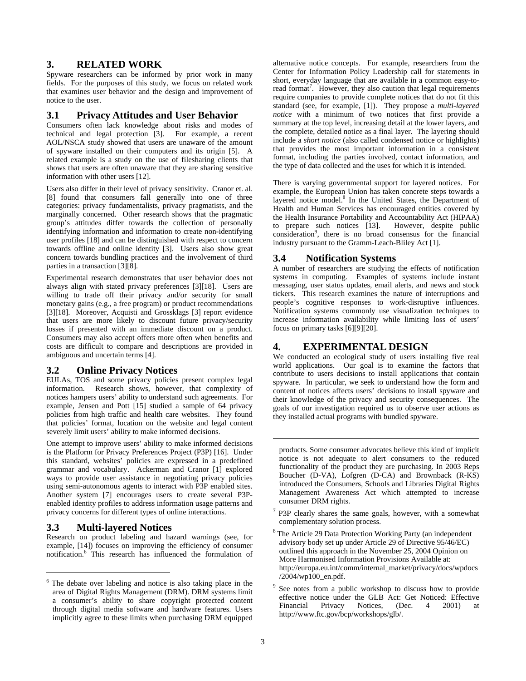# **3. RELATED WORK**

Spyware researchers can be informed by prior work in many fields. For the purposes of this study, we focus on related work that examines user behavior and the design and improvement of notice to the user.

### **3.1 Privacy Attitudes and User Behavior**

Consumers often lack knowledge about risks and modes of technical and legal protection [3]. For example, a recent AOL/NSCA study showed that users are unaware of the amount of spyware installed on their computers and its origin [5]. A related example is a study on the use of filesharing clients that shows that users are often unaware that they are sharing sensitive information with other users [12].

Users also differ in their level of privacy sensitivity. Cranor et. al. [8] found that consumers fall generally into one of three categories: privacy fundamentalists, privacy pragmatists, and the marginally concerned. Other research shows that the pragmatic group's attitudes differ towards the collection of personally identifying information and information to create non-identifying user profiles [18] and can be distinguished with respect to concern towards offline and online identity [3]. Users also show great concern towards bundling practices and the involvement of third parties in a transaction [3][8].

Experimental research demonstrates that user behavior does not always align with stated privacy preferences [3][18]. Users are willing to trade off their privacy and/or security for small monetary gains (e.g., a free program) or product recommendations [3][18]. Moreover, Acquisti and Grossklags [3] report evidence that users are more likely to discount future privacy/security losses if presented with an immediate discount on a product. Consumers may also accept offers more often when benefits and costs are difficult to compare and descriptions are provided in ambiguous and uncertain terms [4].

### **3.2 Online Privacy Notices**

EULAs, TOS and some privacy policies present complex legal information. Research shows, however, that complexity of notices hampers users' ability to understand such agreements. For example, Jensen and Pott [15] studied a sample of 64 privacy policies from high traffic and health care websites. They found that policies' format, location on the website and legal content severely limit users' ability to make informed decisions.

One attempt to improve users' ability to make informed decisions is the Platform for Privacy Preferences Project (P3P) [16]. Under this standard, websites' policies are expressed in a predefined grammar and vocabulary. Ackerman and Cranor [1] explored ways to provide user assistance in negotiating privacy policies using semi-autonomous agents to interact with P3P enabled sites. Another system [7] encourages users to create several P3Penabled identity profiles to address information usage patterns and privacy concerns for different types of online interactions.

### **3.3 Multi-layered Notices**

 $\overline{a}$ 

Research on product labeling and hazard warnings (see, for example, [14]) focuses on improving the efficiency of consumer notification.[6](#page-2-0) This research has influenced the formulation of

alternative notice concepts. For example, researchers from the Center for Information Policy Leadership call for statements in short, everyday language that are available in a common easy-toread format<sup>7</sup>. However, they also caution that legal requirements require companies to provide complete notices that do not fit this standard (see, for example, [1]). They propose a *multi-layered notice* with a minimum of two notices that first provide a summary at the top level, increasing detail at the lower layers, and the complete, detailed notice as a final layer. The layering should include a *short notice* (also called condensed notice or highlights) that provides the most important information in a consistent format, including the parties involved, contact information, and the type of data collected and the uses for which it is intended.

There is varying governmental support for layered notices. For example, the European Union has taken concrete steps towards a layered notice model.<sup>8</sup> In the United States, the Department of Health and Human Services has encouraged entities covered by the Health Insurance Portability and Accountability Act (HIPAA) to prepare such notices [13]. However, despite public consideration<sup>9</sup>[,](#page-2-3) there is no broad consensus for the financial industry pursuant to the Gramm-Leach-Bliley Act [1].

### **3.4 Notification Systems**

A number of researchers are studying the effects of notification systems in computing. Examples of systems include instant messaging, user status updates, email alerts, and news and stock tickers. This research examines the nature of interruptions and people's cognitive responses to work-disruptive influences. Notification systems commonly use visualization techniques to increase information availability while limiting loss of users' focus on primary tasks [6][9][20].

# **4. EXPERIMENTAL DESIGN**

We conducted an ecological study of users installing five real world applications. Our goal is to examine the factors that contribute to users decisions to install applications that contain spyware. In particular, we seek to understand how the form and content of notices affects users' decisions to install spyware and their knowledge of the privacy and security consequences. The goals of our investigation required us to observe user actions as they installed actual programs with bundled spyware.

products. Some consumer advocates believe this kind of implicit notice is not adequate to alert consumers to the reduced functionality of the product they are purchasing. In 2003 Reps Boucher (D-VA), Lofgren (D-CA) and Brownback (R-KS) introduced the Consumers, Schools and Libraries Digital Rights Management Awareness Act which attempted to increase consumer DRM rights.

- <span id="page-2-1"></span> $7$  P3P clearly shares the same goals, however, with a somewhat complementary solution process.
- <span id="page-2-2"></span><sup>8</sup> The Article 29 Data Protection Working Party (an independent advisory body set up under Article 29 of Directive 95/46/EC) outlined this approach in the November 25, 2004 Opinion on More Harmonised Information Provisions Available at: http://europa.eu.int/comm/internal\_market/privacy/docs/wpdocs /2004/wp100\_en.pdf.
- <span id="page-2-3"></span><sup>9</sup> See notes from a public workshop to discuss how to provide effective notice under the GLB Act: Get Noticed: Effective Financial Privacy Notices, (Dec. 4 2001) at http://www.ftc.gov/bcp/workshops/glb/.

l

<span id="page-2-0"></span><sup>&</sup>lt;sup>6</sup> The debate over labeling and notice is also taking place in the area of Digital Rights Management (DRM). DRM systems limit a consumer's ability to share copyright protected content through digital media software and hardware features. Users implicitly agree to these limits when purchasing DRM equipped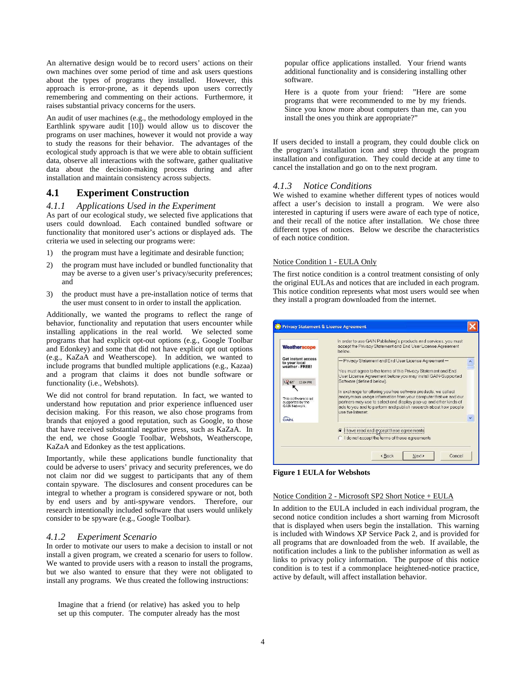An alternative design would be to record users' actions on their own machines over some period of time and ask users questions about the types of programs they installed. However, this approach is error-prone, as it depends upon users correctly remembering and commenting on their actions. Furthermore, it raises substantial privacy concerns for the users.

An audit of user machines (e.g., the methodology employed in the Earthlink spyware audit [\[10\]](#page-9-0)) would allow us to discover the programs on user machines, however it would not provide a way to study the reasons for their behavior. The advantages of the ecological study approach is that we were able to obtain sufficient data, observe all interactions with the software, gather qualitative data about the decision-making process during and after installation and maintain consistency across subjects.

# **4.1 Experiment Construction**

#### *4.1.1 Applications Used in the Experiment*

As part of our ecological study, we selected five applications that users could download. Each contained bundled software or functionality that monitored user's actions or displayed ads. The criteria we used in selecting our programs were:

- 1) the program must have a legitimate and desirable function;
- 2) the program must have included or bundled functionality that may be averse to a given user's privacy/security preferences; and
- 3) the product must have a pre-installation notice of terms that the user must consent to in order to install the application.

Additionally, we wanted the programs to reflect the range of behavior, functionality and reputation that users encounter while installing applications in the real world. We selected some programs that had explicit opt-out options (e.g., Google Toolbar and Edonkey) and some that did not have explicit opt out options (e.g., KaZaA and Weatherscope). In addition, we wanted to include programs that bundled multiple applications (e.g., Kazaa) and a program that claims it does not bundle software or functionality (i.e., Webshots).

We did not control for brand reputation. In fact, we wanted to understand how reputation and prior experience influenced user decision making. For this reason, we also chose programs from brands that enjoyed a good reputation, such as Google, to those that have received substantial negative press, such as KaZaA. In the end, we chose Google Toolbar, Webshots, Weatherscope, KaZaA and Edonkey as the test applications.

Importantly, while these applications bundle functionality that could be adverse to users' privacy and security preferences, we do not claim nor did we suggest to participants that any of them contain spyware. The disclosures and consent procedures can be integral to whether a program is considered spyware or not, both by end users and by anti-spyware vendors. Therefore, our research intentionally included software that users would unlikely consider to be spyware (e.g., Google Toolbar).

### *4.1.2 Experiment Scenario*

In order to motivate our users to make a decision to install or not install a given program, we created a scenario for users to follow. We wanted to provide users with a reason to install the programs, but we also wanted to ensure that they were not obligated to install any programs. We thus created the following instructions:

Imagine that a friend (or relative) has asked you to help set up this computer. The computer already has the most

popular office applications installed. Your friend wants additional functionality and is considering installing other software.

Here is a quote from your friend: "Here are some programs that were recommended to me by my friends. Since you know more about computers than me, can you install the ones you think are appropriate?"

If users decided to install a program, they could double click on the program's installation icon and strep through the program installation and configuration. They could decide at any time to cancel the installation and go on to the next program.

### *4.1.3 Notice Conditions*

We wished to examine whether different types of notices would affect a user's decision to install a program. We were also interested in capturing if users were aware of each type of notice, and their recall of the notice after installation. We chose three different types of notices. Below we describe the characteristics of each notice condition.

#### Notice Condition 1 - EULA Only

The first notice condition is a control treatment consisting of only the original EULAs and notices that are included in each program. This notice condition represents what most users would see when they install a program downloaded from the internet.

| <b>Weatherscope</b>                                                                                                                                  | In order to use GAIN Publishing's products and services, you must<br>accept the Privacy Statement and End User License Agreement<br>helmy                                                                                                                                                                                                                                                                                                                                                                         |  |
|------------------------------------------------------------------------------------------------------------------------------------------------------|-------------------------------------------------------------------------------------------------------------------------------------------------------------------------------------------------------------------------------------------------------------------------------------------------------------------------------------------------------------------------------------------------------------------------------------------------------------------------------------------------------------------|--|
| <b>Get instant access</b><br>to your local<br>weather - FREE!<br>Q 61<br>12:04 PM<br>This software is ad<br>supported by the<br>GAIN Network<br>GAIN | - Privacy Statement and End User License Agreement-<br>You must agree to the terms of this Privacy Statement and End<br>User License Agreement before you may install GAIN-Supported<br>Software (defined below).<br>In exchange for offering you free software products, we collect<br>anonymous usage information from your computer that we and our<br>partners may use to select and display pop-up and other kinds of<br>ads to you and to perform and publish research about how people<br>use the Internet |  |
|                                                                                                                                                      | I have read and accept these agreements<br>I do not accept the terms of these agreements                                                                                                                                                                                                                                                                                                                                                                                                                          |  |

**Figure 1 EULA for Webshots** 

### Notice Condition 2 - Microsoft SP2 Short Notice + EULA

In addition to the EULA included in each individual program, the second notice condition includes a short warning from Microsoft that is displayed when users begin the installation. This warning is included with Windows XP Service Pack 2, and is provided for all programs that are downloaded from the web. If available, the notification includes a link to the publisher information as well as links to privacy policy information. The purpose of this notice condition is to test if a commonplace heightened-notice practice, active by default, will affect installation behavior.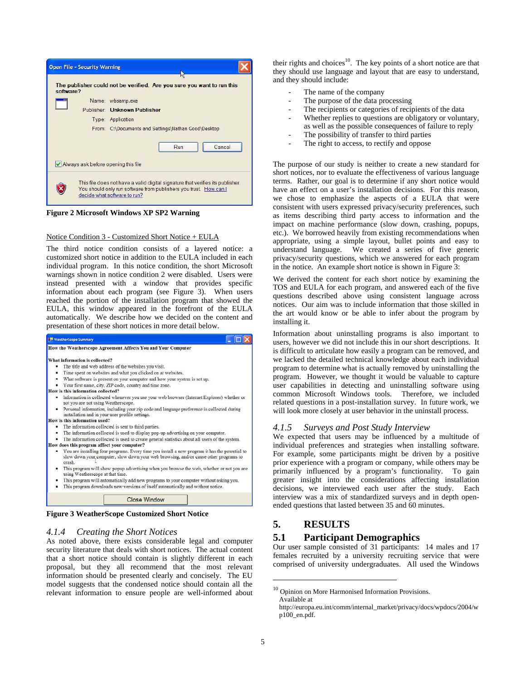

**Figure 2 Microsoft Windows XP SP2 Warning** 

#### Notice Condition 3 - Customized Short Notice + EULA

The third notice condition consists of a layered notice: a customized short notice in addition to the EULA included in each individual program. In this notice condition, the short Microsoft warnings shown in notice condition 2 were disabled. Users were instead presented with a window that provides specific information about each program (see Figure 3). When users reached the portion of the installation program that showed the EULA, this window appeared in the forefront of the EULA automatically. We describe how we decided on the content and presentation of these short notices in more detail below.

<span id="page-4-0"></span>

#### **Figure 3 WeatherScope Customized Short Notice**

### *4.1.4 Creating the Short Notices*

As noted above, there exists considerable legal and computer security literature that deals with short notices. The actual content that a short notice should contain is slightly different in each proposal, but they all recommend that the most relevant information should be presented clearly and concisely. The EU model suggests that the condensed notice should contain all the relevant information to ensure people are well-informed about

their rights and choices<sup>10</sup>. The key points of a short notice are that they should use language and layout that are easy to understand, and they should include:

- The name of the company
- The purpose of the data processing
- The recipients or categories of recipients of the data
- Whether replies to questions are obligatory or voluntary, as well as the possible consequences of failure to reply
- The possibility of transfer to third parties
- The right to access, to rectify and oppose

The purpose of our study is neither to create a new standard for short notices, nor to evaluate the effectiveness of various language terms. Rather, our goal is to determine if any short notice would have an effect on a user's installation decisions. For this reason, we chose to emphasize the aspects of a EULA that were consistent with users expressed privacy/security preferences, such as items describing third party access to information and the impact on machine performance (slow down, crashing, popups, etc.). We borrowed heavily from existing recommendations when appropriate, using a simple layout, bullet points and easy to understand language. We created a series of five generic privacy/security questions, which we answered for each program in the notice. An example short notice is shown in [Figure 3:](#page-4-0)

We derived the content for each short notice by examining the TOS and EULA for each program, and answered each of the five questions described above using consistent language across notices. Our aim was to include information that those skilled in the art would know or be able to infer about the program by installing it.

Information about uninstalling programs is also important to users, however we did not include this in our short descriptions. It is difficult to articulate how easily a program can be removed, and we lacked the detailed technical knowledge about each individual program to determine what is actually removed by uninstalling the program. However, we thought it would be valuable to capture user capabilities in detecting and uninstalling software using common Microsoft Windows tools. Therefore, we included related questions in a post-installation survey. In future work, we will look more closely at user behavior in the uninstall process.

### *4.1.5 Surveys and Post Study Interview*

We expected that users may be influenced by a multitude of individual preferences and strategies when installing software. For example, some participants might be driven by a positive prior experience with a program or company, while others may be primarily influenced by a program's functionality. To gain greater insight into the considerations affecting installation decisions, we interviewed each user after the study. Each interview was a mix of standardized surveys and in depth openended questions that lasted between 35 and 60 minutes.

# **5. RESULTS**

### **5.1 Participant Demographics**

Our user sample consisted of 31 participants: 14 males and 17 females recruited by a university recruiting service that were comprised of university undergraduates. All used the Windows

1

<span id="page-4-1"></span><sup>10</sup> Opinion on More Harmonised Information Provisions.

Available at

http://europa.eu.int/comm/internal\_market/privacy/docs/wpdocs/2004/w p100\_en.pdf.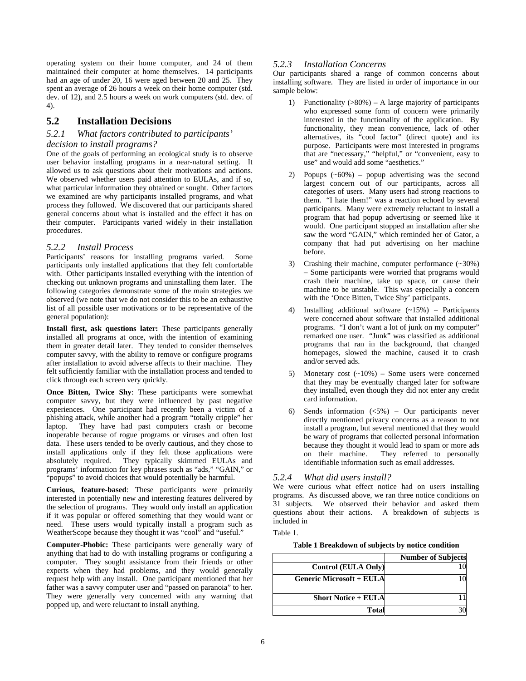operating system on their home computer, and 24 of them maintained their computer at home themselves. 14 participants had an age of under 20, 16 were aged between 20 and 25. They spent an average of 26 hours a week on their home computer (std. dev. of 12), and 2.5 hours a week on work computers (std. dev. of 4).

# **5.2 Installation Decisions**

### *5.2.1 What factors contributed to participants'*

### *decision to install programs?*

One of the goals of performing an ecological study is to observe user behavior installing programs in a near-natural setting. It allowed us to ask questions about their motivations and actions. We observed whether users paid attention to EULAs, and if so, what particular information they obtained or sought. Other factors we examined are why participants installed programs, and what process they followed. We discovered that our participants shared general concerns about what is installed and the effect it has on their computer. Participants varied widely in their installation procedures.

### *5.2.2 Install Process*

Participants' reasons for installing programs varied. Some participants only installed applications that they felt comfortable with. Other participants installed everything with the intention of checking out unknown programs and uninstalling them later. The following categories demonstrate some of the main strategies we observed (we note that we do not consider this to be an exhaustive list of all possible user motivations or to be representative of the general population):

**Install first, ask questions later:** These participants generally installed all programs at once, with the intention of examining them in greater detail later. They tended to consider themselves computer savvy, with the ability to remove or configure programs after installation to avoid adverse affects to their machine. They felt sufficiently familiar with the installation process and tended to click through each screen very quickly.

**Once Bitten, Twice Shy**: These participants were somewhat computer savvy, but they were influenced by past negative experiences. One participant had recently been a victim of a phishing attack, while another had a program "totally cripple" her laptop. They have had past computers crash or become inoperable because of rogue programs or viruses and often lost data. These users tended to be overly cautious, and they chose to install applications only if they felt those applications were absolutely required. They typically skimmed EULAs and programs' information for key phrases such as "ads," "GAIN," or "popups" to avoid choices that would potentially be harmful.

**Curious, feature-based**: These participants were primarily interested in potentially new and interesting features delivered by the selection of programs. They would only install an application if it was popular or offered something that they would want or need. These users would typically install a program such as WeatherScope because they thought it was "cool" and "useful."

**Computer-Phobic:** These participants were generally wary of anything that had to do with installing programs or configuring a computer. They sought assistance from their friends or other experts when they had problems, and they would generally request help with any install. One participant mentioned that her father was a savvy computer user and "passed on paranoia" to her. They were generally very concerned with any warning that popped up, and were reluctant to install anything.

# *5.2.3 Installation Concerns*

Our participants shared a range of common concerns about installing software. They are listed in order of importance in our sample below:

- 1) Functionality  $(>80\%)$  A large majority of participants who expressed some form of concern were primarily interested in the functionality of the application. By functionality, they mean convenience, lack of other alternatives, its "cool factor" (direct quote) and its purpose. Participants were most interested in programs that are "necessary," "helpful," or "convenient, easy to use" and would add some "aesthetics."
- 2) Popups  $({\sim}60\%)$  popup advertising was the second largest concern out of our participants, across all categories of users. Many users had strong reactions to them. "I hate them!" was a reaction echoed by several participants. Many were extremely reluctant to install a program that had popup advertising or seemed like it would. One participant stopped an installation after she saw the word "GAIN," which reminded her of Gator, a company that had put advertising on her machine before.
- 3) Crashing their machine, computer performance (~30%) – Some participants were worried that programs would crash their machine, take up space, or cause their machine to be unstable. This was especially a concern with the 'Once Bitten, Twice Shy' participants.
- 4) Installing additional software (~15%) Participants were concerned about software that installed additional programs. "I don't want a lot of junk on my computer" remarked one user. "Junk" was classified as additional programs that ran in the background, that changed homepages, slowed the machine, caused it to crash and/or served ads.
- 5) Monetary cost  $(\sim 10\%)$  Some users were concerned that they may be eventually charged later for software they installed, even though they did not enter any credit card information.
- 6) Sends information (<5%) Our participants never directly mentioned privacy concerns as a reason to not install a program, but several mentioned that they would be wary of programs that collected personal information because they thought it would lead to spam or more ads<br>on their machine. They referred to personally They referred to personally identifiable information such as email addresses.

# *5.2.4 What did users install?*

We were curious what effect notice had on users installing programs. As discussed above, we ran three notice conditions on 31 subjects. We observed their behavior and asked them questions about their actions. A breakdown of subjects is included in

[Table 1](#page-5-0).

### <span id="page-5-0"></span>**Table 1 Breakdown of subjects by notice condition**

|                                 | <b>Number of Subjects</b> |
|---------------------------------|---------------------------|
| <b>Control (EULA Only)</b>      |                           |
| <b>Generic Microsoft + EULA</b> |                           |
| <b>Short Notice + EULA</b>      |                           |
| Total                           |                           |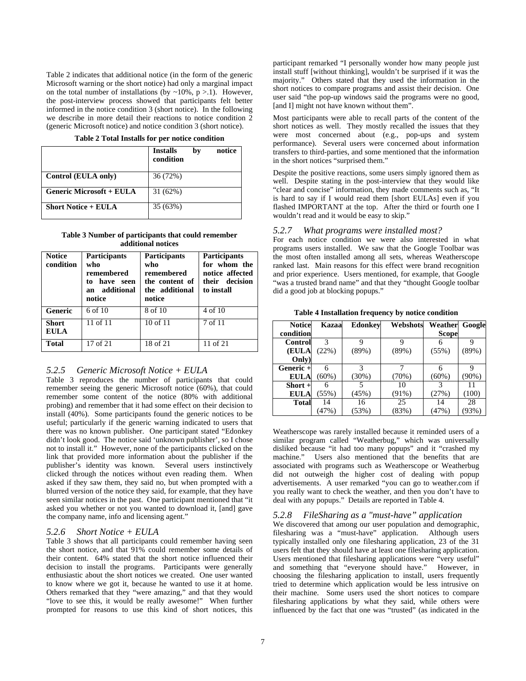[Table 2](#page-6-0) indicates that additional notice (in the form of the generic Microsoft warning or the short notice) had only a marginal impact on the total number of installations (by ~10%,  $p > 1$ ). However, the post-interview process showed that participants felt better informed in the notice condition 3 (short notice). In the following we describe in more detail their reactions to notice condition 2 (generic Microsoft notice) and notice condition 3 (short notice).

<span id="page-6-0"></span>**Table 2 Total Installs for per notice condition**

|                                 | notice<br><b>Installs</b><br>bv<br>condition |
|---------------------------------|----------------------------------------------|
| Control (EULA only)             | 36 (72%)                                     |
| <b>Generic Microsoft + EULA</b> | 31(62%)                                      |
| <b>Short Notice + EULA</b>      | 35 (63%)                                     |

<span id="page-6-1"></span>**Table 3 Number of participants that could remember additional notices** 

| <b>Notice</b><br>condition  | <b>Participants</b><br>who<br>remembered<br>have seen<br>tο<br>additional<br>an<br>notice | Participants<br>who<br>remembered<br>the content of<br>the additional<br>notice | Participants<br>for whom the<br>notice affected<br>their decision<br>to install |
|-----------------------------|-------------------------------------------------------------------------------------------|---------------------------------------------------------------------------------|---------------------------------------------------------------------------------|
| Generic                     | 6 of 10                                                                                   | 8 of 10                                                                         | 4 of 10                                                                         |
| <b>Short</b><br><b>EULA</b> | 11 of 11                                                                                  | 10 of 11                                                                        | 7 of 11                                                                         |
| <b>Total</b>                | 17 of 21                                                                                  | 18 of 21                                                                        | 11 of 21                                                                        |

### *5.2.5 Generic Microsoft Notice + EULA*

[Table 3](#page-6-1) reproduces the number of participants that could remember seeing the generic Microsoft notice (60%), that could remember some content of the notice (80% with additional probing) and remember that it had some effect on their decision to install (40%). Some participants found the generic notices to be useful; particularly if the generic warning indicated to users that there was no known publisher. One participant stated "Edonkey didn't look good. The notice said 'unknown publisher', so I chose not to install it." However, none of the participants clicked on the link that provided more information about the publisher if the publisher's identity was known. Several users instinctively clicked through the notices without even reading them. When asked if they saw them, they said no, but when prompted with a blurred version of the notice they said, for example, that they have seen similar notices in the past. One participant mentioned that "it asked you whether or not you wanted to download it, [and] gave the company name, info and licensing agent."

### *5.2.6 Short Notice + EULA*

[Table 3](#page-6-1) shows that all participants could remember having seen the short notice, and that 91% could remember some details of their content. 64% stated that the short notice influenced their decision to install the programs. Participants were generally enthusiastic about the short notices we created. One user wanted to know where we got it, because he wanted to use it at home. Others remarked that they "were amazing," and that they would "love to see this, it would be really awesome!" When further prompted for reasons to use this kind of short notices, this

participant remarked "I personally wonder how many people just install stuff [without thinking], wouldn't be surprised if it was the majority." Others stated that they used the information in the short notices to compare programs and assist their decision. One user said "the pop-up windows said the programs were no good, [and I] might not have known without them".

Most participants were able to recall parts of the content of the short notices as well. They mostly recalled the issues that they were most concerned about (e.g., pop-ups and system performance). Several users were concerned about information transfers to third-parties, and some mentioned that the information in the short notices "surprised them."

Despite the positive reactions, some users simply ignored them as well. Despite stating in the post-interview that they would like "clear and concise" information, they made comments such as, "It is hard to say if I would read them [short EULAs] even if you flashed IMPORTANT at the top. After the third or fourth one I wouldn't read and it would be easy to skip."

### *5.2.7 What programs were installed most?*

For each notice condition we were also interested in what programs users installed. We saw that the Google Toolbar was the most often installed among all sets, whereas Weatherscope ranked last. Main reasons for this effect were brand recognition and prior experience. Users mentioned, for example, that Google "was a trusted brand name" and that they "thought Google toolbar did a good job at blocking popups."

| <b>Notice</b>  | Kazaa    | <b>Edonkey</b> | Webshots | <b>Weather</b> Google |          |
|----------------|----------|----------------|----------|-----------------------|----------|
| condition      |          |                |          | <b>Scope</b>          |          |
| <b>Control</b> | 3        | Q              | Q        |                       | 9        |
| <b>(EULA)</b>  | (22%)    | (89%)          | (89%)    | $(55\%)$              | (89%)    |
| Only)          |          |                |          |                       |          |
| Generic +      |          | 3              |          | 6                     | 9        |
| <b>EULA</b>    | $(60\%)$ | $(30\%)$       | (70%)    | $(60\%)$              | $(90\%)$ |
| $Short +$      | 6        |                | 10       |                       |          |
| <b>EULA</b>    | (55%)    | (45%)          | $(91\%)$ | (27%)                 | (100)    |
| <b>Total</b>   | 14       | 16             | 25       | 14                    | 28       |
|                | (47%)    | (53%)          | (83%)    | (47%)                 | (93%)    |

<span id="page-6-2"></span>**Table 4 Installation frequency by notice condition** 

Weatherscope was rarely installed because it reminded users of a similar program called "Weatherbug," which was universally disliked because "it had too many popups" and it "crashed my machine." Users also mentioned that the benefits that are associated with programs such as Weatherscope or Weatherbug did not outweigh the higher cost of dealing with popup advertisements. A user remarked "you can go to weather.com if you really want to check the weather, and then you don't have to deal with any popups." Details are reported in [Table 4.](#page-6-2)

### *5.2.8 FileSharing as a "must-have" application*

We discovered that among our user population and demographic, filesharing was a "must-have" application. Although users typically installed only one filesharing application, 23 of the 31 users felt that they should have at least one filesharing application. Users mentioned that filesharing applications were "very useful" and something that "everyone should have." However, in choosing the filesharing application to install, users frequently tried to determine which application would be less intrusive on their machine. Some users used the short notices to compare filesharing applications by what they said, while others were influenced by the fact that one was "trusted" (as indicated in the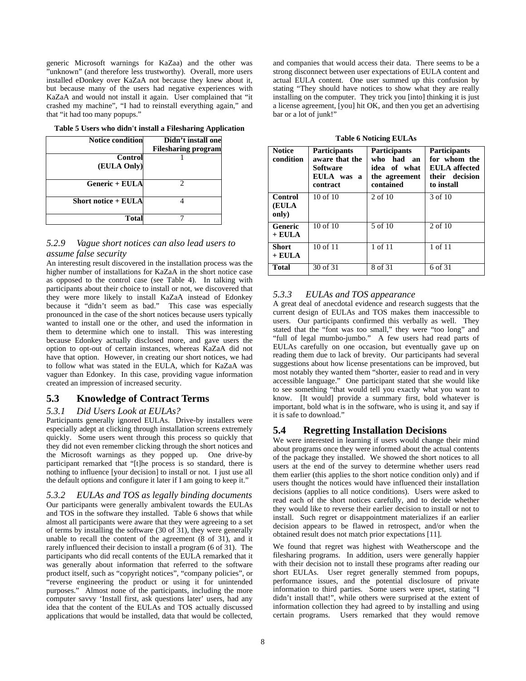generic Microsoft warnings for KaZaa) and the other was 'unknown" (and therefore less trustworthy). Overall, more users installed eDonkey over KaZaA not because they knew about it, but because many of the users had negative experiences with KaZaA and would not install it again. User complained that "it crashed my machine", "I had to reinstall everything again," and that "it had too many popups."

|  |  |  |  |  |  |  |  |  |  |  | Table 5 Users who didn't install a Filesharing Application |  |  |
|--|--|--|--|--|--|--|--|--|--|--|------------------------------------------------------------|--|--|
|--|--|--|--|--|--|--|--|--|--|--|------------------------------------------------------------|--|--|

| Didn't install one         |
|----------------------------|
| <b>Filesharing program</b> |
|                            |
|                            |
|                            |
| 7                          |
|                            |
|                            |
|                            |
|                            |
|                            |

# *5.2.9 Vague short notices can also lead users to assume false security*

An interesting result discovered in the installation process was the higher number of installations for KaZaA in the short notice case as opposed to the control case (see [Table 4\)](#page-6-2). In talking with participants about their choice to install or not, we discovered that they were more likely to install KaZaA instead of Edonkey because it "didn't seem as bad." This case was especially pronounced in the case of the short notices because users typically wanted to install one or the other, and used the information in them to determine which one to install. This was interesting because Edonkey actually disclosed more, and gave users the option to opt-out of certain instances, whereas KaZaA did not have that option. However, in creating our short notices, we had to follow what was stated in the EULA, which for KaZaA was vaguer than Edonkey. In this case, providing vague information created an impression of increased security.

### **5.3 Knowledge of Contract Terms**

### *5.3.1 Did Users Look at EULAs?*

Participants generally ignored EULAs. Drive-by installers were especially adept at clicking through installation screens extremely quickly. Some users went through this process so quickly that they did not even remember clicking through the short notices and the Microsoft warnings as they popped up. One drive-by participant remarked that "[t]he process is so standard, there is nothing to influence [your decision] to install or not. I just use all the default options and configure it later if I am going to keep it."

*5.3.2 EULAs and TOS as legally binding documents*  Our participants were generally ambivalent towards the EULAs and TOS in the software they installed. [Table 6](#page-7-0) shows that while almost all participants were aware that they were agreeing to a set of terms by installing the software (30 of 31), they were generally unable to recall the content of the agreement (8 of 31), and it rarely influenced their decision to install a program (6 of 31). The participants who did recall contents of the EULA remarked that it was generally about information that referred to the software product itself, such as "copyright notices", "company policies", or "reverse engineering the product or using it for unintended purposes." Almost none of the participants, including the more computer savvy 'Install first, ask questions later' users, had any idea that the content of the EULAs and TOS actually discussed applications that would be installed, data that would be collected,

and companies that would access their data. There seems to be a strong disconnect between user expectations of EULA content and actual EULA content. One user summed up this confusion by stating "They should have notices to show what they are really installing on the computer. They trick you [into] thinking it is just a license agreement, [you] hit OK, and then you get an advertising bar or a lot of junk!"

<span id="page-7-0"></span>**Table 6 Noticing EULAs** 

| <b>Notice</b><br>condition | Participants<br>aware that the<br>Software<br>EULA was a<br>contract | Participants<br>who had<br>an<br>idea of what<br>the agreement<br>contained | <b>Participants</b><br>for whom the<br><b>EULA</b> affected<br>their decision<br>to install |
|----------------------------|----------------------------------------------------------------------|-----------------------------------------------------------------------------|---------------------------------------------------------------------------------------------|
| Control<br>(EULA<br>only)  | $10$ of $10$                                                         | 2 of 10                                                                     | 3 of 10                                                                                     |
| Generic<br>$+$ EULA        | $10$ of $10$                                                         | 5 of 10                                                                     | $2$ of $10$                                                                                 |
| <b>Short</b><br>$+$ EULA   | 10 of 11                                                             | 1 of 11                                                                     | 1 of 11                                                                                     |
| Total                      | 30 of 31                                                             | 8 of 31                                                                     | 6 of 31                                                                                     |

### *5.3.3 EULAs and TOS appearance*

A great deal of anecdotal evidence and research suggests that the current design of EULAs and TOS makes them inaccessible to users. Our participants confirmed this verbally as well. They stated that the "font was too small," they were "too long" and "full of legal mumbo-jumbo." A few users had read parts of EULAs carefully on one occasion, but eventually gave up on reading them due to lack of brevity. Our participants had several suggestions about how license presentations can be improved, but most notably they wanted them "shorter, easier to read and in very accessible language." One participant stated that she would like to see something "that would tell you exactly what you want to know. [It would] provide a summary first, bold whatever is important, bold what is in the software, who is using it, and say if it is safe to download."

# **5.4 Regretting Installation Decisions**

We were interested in learning if users would change their mind about programs once they were informed about the actual contents of the package they installed. We showed the short notices to all users at the end of the survey to determine whether users read them earlier (this applies to the short notice condition only) and if users thought the notices would have influenced their installation decisions (applies to all notice conditions). Users were asked to read each of the short notices carefully, and to decide whether they would like to reverse their earlier decision to install or not to install. Such regret or disappointment materializes if an earlier decision appears to be flawed in retrospect, and/or when the obtained result does not match prior expectations [11].

We found that regret was highest with Weatherscope and the filesharing programs. In addition, users were generally happier with their decision not to install these programs after reading our short EULAs. User regret generally stemmed from popups, performance issues, and the potential disclosure of private information to third parties. Some users were upset, stating "I didn't install that!", while others were surprised at the extent of information collection they had agreed to by installing and using certain programs. Users remarked that they would remove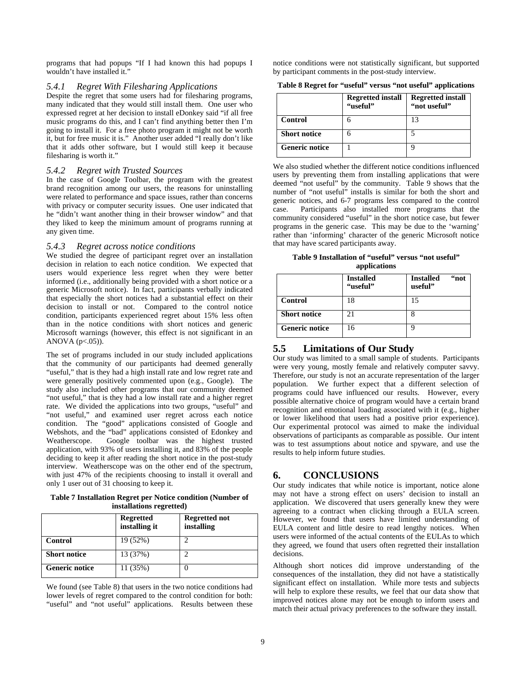programs that had popups "If I had known this had popups I wouldn't have installed it.'

### *5.4.1 Regret With Filesharing Applications*

Despite the regret that some users had for filesharing programs, many indicated that they would still install them. One user who expressed regret at her decision to install eDonkey said "if all free music programs do this, and I can't find anything better then I'm going to install it. For a free photo program it might not be worth it, but for free music it is." Another user added "I really don't like that it adds other software, but I would still keep it because filesharing is worth it."

### *5.4.2 Regret with Trusted Sources*

In the case of Google Toolbar, the program with the greatest brand recognition among our users, the reasons for uninstalling were related to performance and space issues, rather than concerns with privacy or computer security issues. One user indicated that he "didn't want another thing in their browser window" and that they liked to keep the minimum amount of programs running at any given time.

### *5.4.3 Regret across notice conditions*

We studied the degree of participant regret over an installation decision in relation to each notice condition. We expected that users would experience less regret when they were better informed (i.e., additionally being provided with a short notice or a generic Microsoft notice). In fact, participants verbally indicated that especially the short notices had a substantial effect on their decision to install or not. Compared to the control notice condition, participants experienced regret about 15% less often than in the notice conditions with short notices and generic Microsoft warnings (however, this effect is not significant in an ANOVA  $(p<.05)$ ).

The set of programs included in our study included applications that the community of our participants had deemed generally "useful," that is they had a high install rate and low regret rate and were generally positively commented upon (e.g., Google). The study also included other programs that our community deemed "not useful," that is they had a low install rate and a higher regret rate. We divided the applications into two groups, "useful" and "not useful," and examined user regret across each notice condition. The "good" applications consisted of Google and Webshots, and the "bad" applications consisted of Edonkey and Weatherscope. Google toolbar was the highest trusted application, with 93% of users installing it, and 83% of the people deciding to keep it after reading the short notice in the post-study interview. Weatherscope was on the other end of the spectrum, with just 47% of the recipients choosing to install it overall and only 1 user out of 31 choosing to keep it.

**Table 7 Installation Regret per Notice condition (Number of installations regretted)** 

|                       | <b>Regretted</b><br>installing it | <b>Regretted not</b><br>installing |
|-----------------------|-----------------------------------|------------------------------------|
| Control               | 19 (52%)                          |                                    |
| <b>Short notice</b>   | 13 (37%)                          |                                    |
| <b>Generic notice</b> | 11 (35%)                          |                                    |

We found (see [Table 8\)](#page-8-0) that users in the two notice conditions had lower levels of regret compared to the control condition for both: "useful" and "not useful" applications. Results between these

notice conditions were not statistically significant, but supported by participant comments in the post-study interview.

<span id="page-8-0"></span>**Table 8 Regret for "useful" versus "not useful" applications** 

|                       | <b>Regretted install</b><br>"useful" | <b>Regretted install</b><br>"not useful" |
|-----------------------|--------------------------------------|------------------------------------------|
| Control               |                                      | 13                                       |
| <b>Short notice</b>   |                                      |                                          |
| <b>Generic notice</b> |                                      |                                          |

We also studied whether the different notice conditions influenced users by preventing them from installing applications that were deemed "not useful" by the community. Table 9 shows that the number of "not useful" installs is similar [for both](#page-8-1) the short and generic notices, and 6-7 programs less compared to the control case. Participants also installed more programs that the community considered "useful" in the short notice case, but fewer programs in the generic case. This may be due to the 'warning' rather than 'informing' character of the generic Microsoft notice that may have scared participants away.

<span id="page-8-1"></span>**Table 9 Installation of "useful" versus "not useful" applications** 

|                       | <b>Installed</b><br>"useful" | "not<br><b>Installed</b><br>useful" |
|-----------------------|------------------------------|-------------------------------------|
| Control               | 18                           | 15                                  |
| <b>Short notice</b>   | 21                           |                                     |
| <b>Generic notice</b> | 16                           |                                     |

# **5.5 Limitations of Our Study**

Our study was limited to a small sample of students. Participants were very young, mostly female and relatively computer savvy. Therefore, our study is not an accurate representation of the larger population. We further expect that a different selection of programs could have influenced our results. However, every possible alternative choice of program would have a certain brand recognition and emotional loading associated with it (e.g., higher or lower likelihood that users had a positive prior experience). Our experimental protocol was aimed to make the individual observations of participants as comparable as possible. Our intent was to test assumptions about notice and spyware, and use the results to help inform future studies.

# **6. CONCLUSIONS**

Our study indicates that while notice is important, notice alone may not have a strong effect on users' decision to install an application. We discovered that users generally knew they were agreeing to a contract when clicking through a EULA screen. However, we found that users have limited understanding of EULA content and little desire to read lengthy notices. When users were informed of the actual contents of the EULAs to which they agreed, we found that users often regretted their installation decisions.

Although short notices did improve understanding of the consequences of the installation, they did not have a statistically significant effect on installation. While more tests and subjects will help to explore these results, we feel that our data show that improved notices alone may not be enough to inform users and match their actual privacy preferences to the software they install.